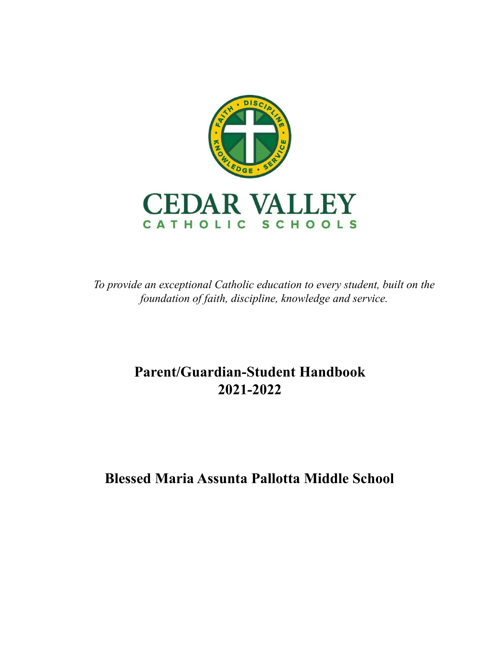

*To provide an exceptional Catholic education to every student, built on the foundation of faith, discipline, knowledge and service.*

# **Parent/Guardian-Student Handbook 2021-2022**

**Blessed Maria Assunta Pallotta Middle School**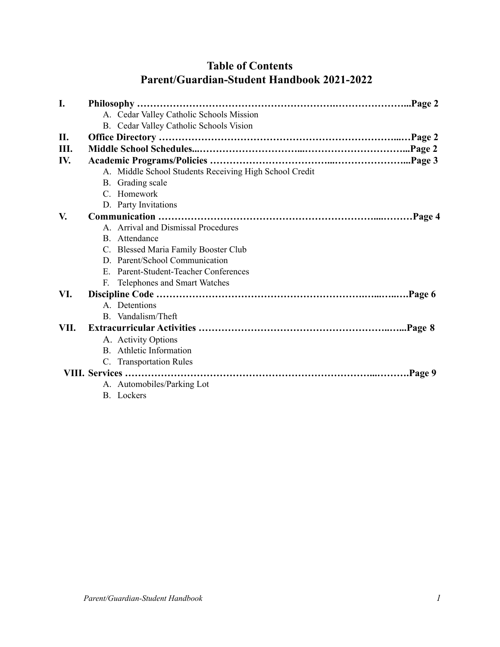## **Table of Contents Parent/Guardian-Student Handbook 2021-2022**

| I.   |  |                                                        |  |  |
|------|--|--------------------------------------------------------|--|--|
|      |  | A. Cedar Valley Catholic Schools Mission               |  |  |
|      |  | B. Cedar Valley Catholic Schools Vision                |  |  |
| П.   |  |                                                        |  |  |
| Ш.   |  |                                                        |  |  |
| IV.  |  |                                                        |  |  |
|      |  | A. Middle School Students Receiving High School Credit |  |  |
|      |  | B. Grading scale                                       |  |  |
|      |  | C. Homework                                            |  |  |
|      |  | D. Party Invitations                                   |  |  |
| V.   |  |                                                        |  |  |
|      |  | A. Arrival and Dismissal Procedures                    |  |  |
|      |  | B. Attendance                                          |  |  |
|      |  | C. Blessed Maria Family Booster Club                   |  |  |
|      |  | D. Parent/School Communication                         |  |  |
|      |  | E. Parent-Student-Teacher Conferences                  |  |  |
|      |  | F. Telephones and Smart Watches                        |  |  |
| VI.  |  |                                                        |  |  |
|      |  | A. Detentions                                          |  |  |
|      |  | B. Vandalism/Theft                                     |  |  |
| VII. |  |                                                        |  |  |
|      |  | A. Activity Options                                    |  |  |
|      |  | <b>B.</b> Athletic Information                         |  |  |
|      |  | C. Transportation Rules                                |  |  |
|      |  |                                                        |  |  |
|      |  | A. Automobiles/Parking Lot                             |  |  |
|      |  | <b>B.</b> Lockers                                      |  |  |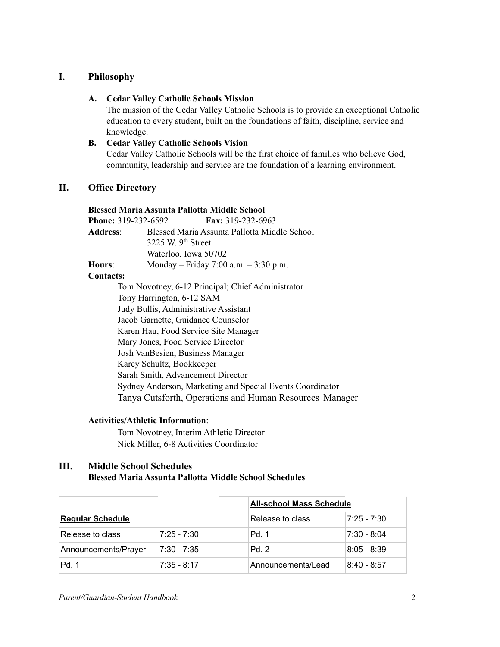## **I. Philosophy**

#### **A. Cedar Valley Catholic Schools Mission**

The mission of the Cedar Valley Catholic Schools is to provide an exceptional Catholic education to every student, built on the foundations of faith, discipline, service and knowledge.

#### **B. Cedar Valley Catholic Schools Vision**

Cedar Valley Catholic Schools will be the first choice of families who believe God, community, leadership and service are the foundation of a learning environment.

## **II. Office Directory**

#### **Blessed Maria Assunta Pallotta Middle School**

| <b>Phone: 319-232-6592</b> |                      | <b>Fax:</b> 319-232-6963                     |
|----------------------------|----------------------|----------------------------------------------|
| <b>Address:</b>            |                      | Blessed Maria Assunta Pallotta Middle School |
|                            | 3225 W. $9th$ Street |                                              |
|                            | Waterloo, Iowa 50702 |                                              |
| Hours:                     |                      | Monday – Friday 7:00 a.m. $-3:30$ p.m.       |
|                            |                      |                                              |

#### **Contacts:**

Tom Novotney, 6-12 Principal; Chief Administrator Tony Harrington, 6-12 SAM Judy Bullis, Administrative Assistant Jacob Garnette, Guidance Counselor Karen Hau, Food Service Site Manager Mary Jones, Food Service Director Josh VanBesien, Business Manager Karey Schultz, Bookkeeper Sarah Smith, Advancement Director Sydney Anderson, Marketing and Special Events Coordinator Tanya Cutsforth, Operations and Human Resources Manager

#### **Activities/Athletic Information**:

Tom Novotney, Interim Athletic Director Nick Miller, 6-8 Activities Coordinator

## **III. Middle School Schedules Blessed Maria Assunta Pallotta Middle School Schedules**

|                         |               | <b>All-school Mass Schedule</b> |              |
|-------------------------|---------------|---------------------------------|--------------|
| <b>Regular Schedule</b> |               | Release to class                | 17:25 - 7:30 |
| Release to class        | $7:25 - 7:30$ | Pd. 1                           | 17:30 - 8:04 |
| Announcements/Prayer    | 7:30 - 7:35   | Pd.2                            | 8:05 - 8:39  |
| Pd. 1                   | $7:35 - 8:17$ | Announcements/Lead              | 8:40 - 8:57  |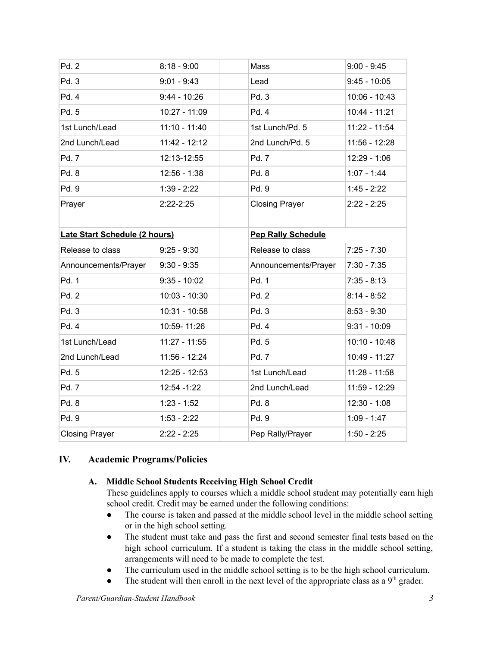| Pd. 2                         | $8:18 - 9:00$   | Mass                      | $9:00 - 9:45$   |  |
|-------------------------------|-----------------|---------------------------|-----------------|--|
| Pd. 3                         | $9:01 - 9:43$   | Lead                      | $9:45 - 10:05$  |  |
| Pd. 4                         | $9:44 - 10:26$  | Pd. 3                     | $10:06 - 10:43$ |  |
| Pd. 5                         | 10:27 - 11:09   | Pd. 4                     | $10:44 - 11:21$ |  |
| 1st Lunch/Lead                | $11:10 - 11:40$ | 1st Lunch/Pd. 5           | 11:22 - 11:54   |  |
| 2nd Lunch/Lead                | 11:42 - 12:12   | 2nd Lunch/Pd. 5           | $11:56 - 12:28$ |  |
| Pd. 7                         | 12:13-12:55     | Pd. 7                     | $12:29 - 1:06$  |  |
| Pd. 8                         | $12:56 - 1:38$  | Pd. 8                     | $1:07 - 1:44$   |  |
| Pd. 9                         | $1:39 - 2:22$   | Pd. 9                     | $1:45 - 2:22$   |  |
| Prayer                        | $2:22-2:25$     | <b>Closing Prayer</b>     | $2:22 - 2:25$   |  |
|                               |                 |                           |                 |  |
| Late Start Schedule (2 hours) |                 | <b>Pep Rally Schedule</b> |                 |  |
| Release to class              | $9:25 - 9:30$   | Release to class          | $7:25 - 7:30$   |  |
| Announcements/Prayer          | $9:30 - 9:35$   | Announcements/Prayer      | $7:30 - 7:35$   |  |
| Pd. 1                         | $9:35 - 10:02$  | Pd. 1                     | $7:35 - 8:13$   |  |
| Pd. 2                         | 10:03 - 10:30   | Pd. 2                     | $8:14 - 8:52$   |  |
| Pd. 3                         | 10:31 - 10:58   | Pd. 3                     | $8:53 - 9:30$   |  |
| Pd. 4                         | 10:59-11:26     | Pd. 4                     | $9:31 - 10:09$  |  |
| 1st Lunch/Lead                | 11:27 - 11:55   | Pd. 5                     | $10:10 - 10:48$ |  |
| 2nd Lunch/Lead                | 11:56 - 12:24   | Pd. 7                     | 10:49 - 11:27   |  |
| Pd. 5                         | 12:25 - 12:53   | 1st Lunch/Lead            | $11:28 - 11:58$ |  |
| Pd. 7                         | 12:54 - 1:22    | 2nd Lunch/Lead            | 11:59 - 12:29   |  |
| Pd. 8                         | $1:23 - 1:52$   | Pd. 8                     | $12:30 - 1:08$  |  |
| Pd. 9                         | $1:53 - 2:22$   | Pd. 9                     | $1:09 - 1:47$   |  |
| <b>Closing Prayer</b>         | $2:22 - 2:25$   | Pep Rally/Prayer          | $1:50 - 2:25$   |  |

## **IV. Academic Programs/Policies**

## **A. Middle School Students Receiving High School Credit**

These guidelines apply to courses which a middle school student may potentially earn high school credit. Credit may be earned under the following conditions:

- The course is taken and passed at the middle school level in the middle school setting or in the high school setting.
- The student must take and pass the first and second semester final tests based on the high school curriculum. If a student is taking the class in the middle school setting, arrangements will need to be made to complete the test.
- The curriculum used in the middle school setting is to be the high school curriculum.
- The student will then enroll in the next level of the appropriate class as a  $9<sup>th</sup>$  grader.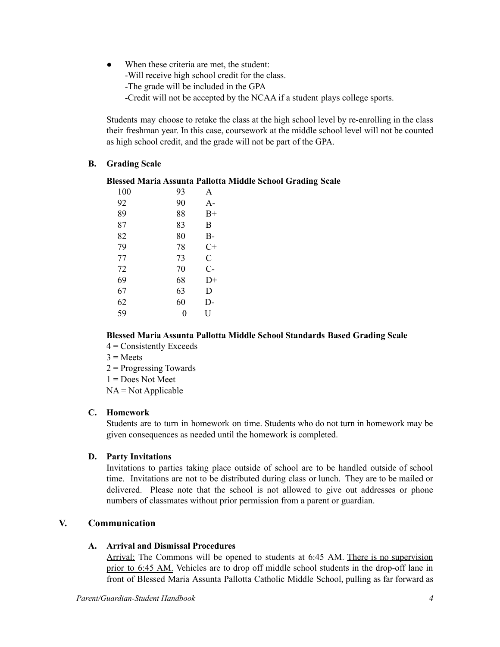• When these criteria are met, the student: -Will receive high school credit for the class. -The grade will be included in the GPA -Credit will not be accepted by the NCAA if a student plays college sports.

Students may choose to retake the class at the high school level by re-enrolling in the class their freshman year. In this case, coursework at the middle school level will not be counted as high school credit, and the grade will not be part of the GPA.

## **B. Grading Scale**

## **Blessed Maria Assunta Pallotta Middle School Grading Scale**

| 100 | 93 | A    |
|-----|----|------|
| 92  | 90 | A-   |
| 89  | 88 | $B+$ |
| 87  | 83 | B    |
| 82  | 80 | $B-$ |
| 79  | 78 | C+   |
| 77  | 73 | C    |
| 72  | 70 | $C-$ |
| 69  | 68 | D+   |
| 67  | 63 | D    |
| 62  | 60 | D-   |
| 59  | 0  | U    |
|     |    |      |

## **Blessed Maria Assunta Pallotta Middle School Standards Based Grading Scale**

- $4$  = Consistently Exceeds
- $3$  = Meets
- 2 = Progressing Towards
- $1 = Does Not Meet$
- $NA = Not Applicable$

#### **C. Homework**

Students are to turn in homework on time. Students who do not turn in homework may be given consequences as needed until the homework is completed.

## **D. Party Invitations**

Invitations to parties taking place outside of school are to be handled outside of school time. Invitations are not to be distributed during class or lunch. They are to be mailed or delivered. Please note that the school is not allowed to give out addresses or phone numbers of classmates without prior permission from a parent or guardian.

## **V. Communication**

## **A. Arrival and Dismissal Procedures**

Arrival: The Commons will be opened to students at 6:45 AM. There is no supervision prior to 6:45 AM. Vehicles are to drop off middle school students in the drop-off lane in front of Blessed Maria Assunta Pallotta Catholic Middle School, pulling as far forward as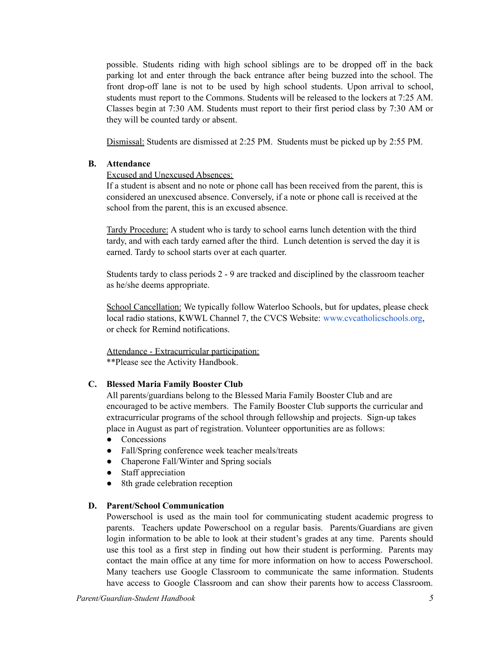possible. Students riding with high school siblings are to be dropped off in the back parking lot and enter through the back entrance after being buzzed into the school. The front drop-off lane is not to be used by high school students. Upon arrival to school, students must report to the Commons. Students will be released to the lockers at 7:25 AM. Classes begin at 7:30 AM. Students must report to their first period class by 7:30 AM or they will be counted tardy or absent.

Dismissal: Students are dismissed at 2:25 PM. Students must be picked up by 2:55 PM.

#### **B. Attendance**

#### Excused and Unexcused Absences:

If a student is absent and no note or phone call has been received from the parent, this is considered an unexcused absence. Conversely, if a note or phone call is received at the school from the parent, this is an excused absence.

Tardy Procedure: A student who is tardy to school earns lunch detention with the third tardy, and with each tardy earned after the third. Lunch detention is served the day it is earned. Tardy to school starts over at each quarter.

Students tardy to class periods 2 - 9 are tracked and disciplined by the classroom teacher as he/she deems appropriate.

School Cancellation: We typically follow Waterloo Schools, but for updates, please check local radio stations, KWWL Channel 7, the CVCS Website: www.cvcatholicschools.org, or check for Remind notifications.

Attendance - Extracurricular participation: \*\*Please see the Activity Handbook.

#### **C. Blessed Maria Family Booster Club**

All parents/guardians belong to the Blessed Maria Family Booster Club and are encouraged to be active members. The Family Booster Club supports the curricular and extracurricular programs of the school through fellowship and projects. Sign-up takes place in August as part of registration. Volunteer opportunities are as follows:

- Concessions
- Fall/Spring conference week teacher meals/treats
- Chaperone Fall/Winter and Spring socials
- Staff appreciation
- 8th grade celebration reception

#### **D. Parent/School Communication**

Powerschool is used as the main tool for communicating student academic progress to parents. Teachers update Powerschool on a regular basis. Parents/Guardians are given login information to be able to look at their student's grades at any time. Parents should use this tool as a first step in finding out how their student is performing. Parents may contact the main office at any time for more information on how to access Powerschool. Many teachers use Google Classroom to communicate the same information. Students have access to Google Classroom and can show their parents how to access Classroom.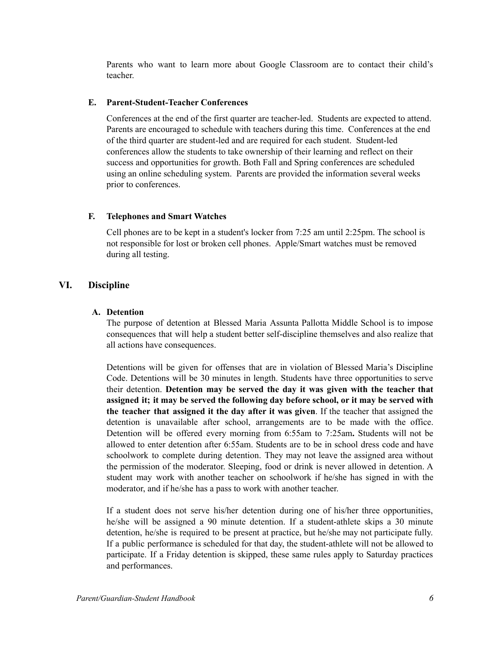Parents who want to learn more about Google Classroom are to contact their child's teacher.

#### **E. Parent-Student-Teacher Conferences**

Conferences at the end of the first quarter are teacher-led. Students are expected to attend. Parents are encouraged to schedule with teachers during this time. Conferences at the end of the third quarter are student-led and are required for each student. Student-led conferences allow the students to take ownership of their learning and reflect on their success and opportunities for growth. Both Fall and Spring conferences are scheduled using an online scheduling system. Parents are provided the information several weeks prior to conferences.

## **F. Telephones and Smart Watches**

Cell phones are to be kept in a student's locker from 7:25 am until 2:25pm. The school is not responsible for lost or broken cell phones. Apple/Smart watches must be removed during all testing.

## **VI. Discipline**

## **A. Detention**

The purpose of detention at Blessed Maria Assunta Pallotta Middle School is to impose consequences that will help a student better self-discipline themselves and also realize that all actions have consequences.

Detentions will be given for offenses that are in violation of Blessed Maria's Discipline Code. Detentions will be 30 minutes in length. Students have three opportunities to serve their detention. **Detention may be served the day it was given with the teacher that assigned it; it may be served the following day before school, or it may be served with the teacher that assigned it the day after it was given**. If the teacher that assigned the detention is unavailable after school, arrangements are to be made with the office. Detention will be offered every morning from 6:55am to 7:25am**.** Students will not be allowed to enter detention after 6:55am. Students are to be in school dress code and have schoolwork to complete during detention. They may not leave the assigned area without the permission of the moderator. Sleeping, food or drink is never allowed in detention. A student may work with another teacher on schoolwork if he/she has signed in with the moderator, and if he/she has a pass to work with another teacher.

If a student does not serve his/her detention during one of his/her three opportunities, he/she will be assigned a 90 minute detention. If a student-athlete skips a 30 minute detention, he/she is required to be present at practice, but he/she may not participate fully. If a public performance is scheduled for that day, the student-athlete will not be allowed to participate. If a Friday detention is skipped, these same rules apply to Saturday practices and performances.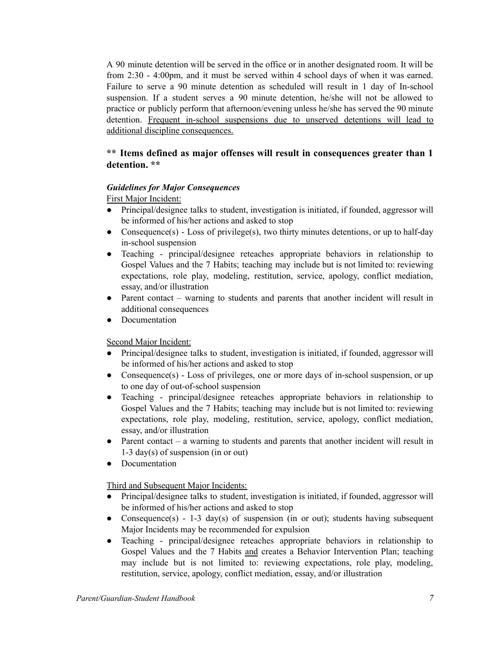A 90 minute detention will be served in the office or in another designated room. It will be from 2:30 - 4:00pm, and it must be served within 4 school days of when it was earned. Failure to serve a 90 minute detention as scheduled will result in 1 day of In-school suspension. If a student serves a 90 minute detention, he/she will not be allowed to practice or publicly perform that afternoon/evening unless he/she has served the 90 minute detention. Frequent in-school suspensions due to unserved detentions will lead to additional discipline consequences.

## **\*\* Items defined as major offenses will result in consequences greater than 1 detention. \*\***

## *Guidelines for Major Consequences*

First Major Incident:

- Principal/designee talks to student, investigation is initiated, if founded, aggressor will be informed of his/her actions and asked to stop
- Consequence(s) Loss of privilege(s), two thirty minutes detentions, or up to half-day in-school suspension
- Teaching principal/designee reteaches appropriate behaviors in relationship to Gospel Values and the 7 Habits; teaching may include but is not limited to: reviewing expectations, role play, modeling, restitution, service, apology, conflict mediation, essay, and/or illustration
- Parent contact warning to students and parents that another incident will result in additional consequences
- Documentation

## Second Major Incident:

- Principal/designee talks to student, investigation is initiated, if founded, aggressor will be informed of his/her actions and asked to stop
- Consequence(s) Loss of privileges, one or more days of in-school suspension, or up to one day of out-of-school suspension
- Teaching principal/designee reteaches appropriate behaviors in relationship to Gospel Values and the 7 Habits; teaching may include but is not limited to: reviewing expectations, role play, modeling, restitution, service, apology, conflict mediation, essay, and/or illustration
- Parent contact a warning to students and parents that another incident will result in 1-3 day(s) of suspension (in or out)
- Documentation

## Third and Subsequent Major Incidents:

- Principal/designee talks to student, investigation is initiated, if founded, aggressor will be informed of his/her actions and asked to stop
- Consequence(s) 1-3 day(s) of suspension (in or out); students having subsequent Major Incidents may be recommended for expulsion
- Teaching principal/designee reteaches appropriate behaviors in relationship to Gospel Values and the 7 Habits and creates a Behavior Intervention Plan; teaching may include but is not limited to: reviewing expectations, role play, modeling, restitution, service, apology, conflict mediation, essay, and/or illustration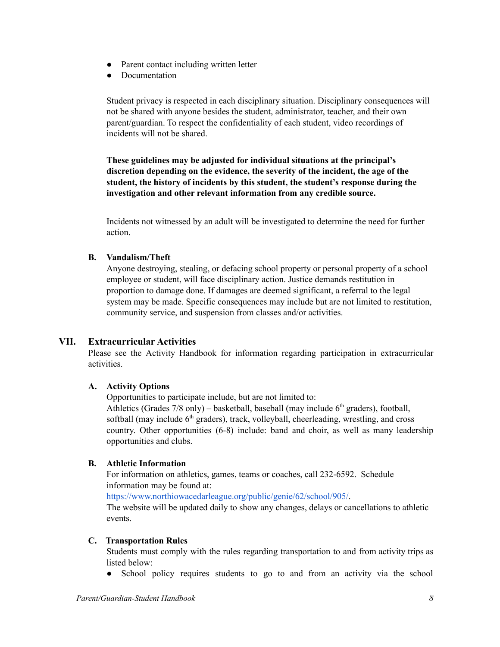- Parent contact including written letter
- Documentation

Student privacy is respected in each disciplinary situation. Disciplinary consequences will not be shared with anyone besides the student, administrator, teacher, and their own parent/guardian. To respect the confidentiality of each student, video recordings of incidents will not be shared.

**These guidelines may be adjusted for individual situations at the principal's discretion depending on the evidence, the severity of the incident, the age of the student, the history of incidents by this student, the student's response during the investigation and other relevant information from any credible source.**

Incidents not witnessed by an adult will be investigated to determine the need for further action.

#### **B. Vandalism/Theft**

Anyone destroying, stealing, or defacing school property or personal property of a school employee or student, will face disciplinary action. Justice demands restitution in proportion to damage done. If damages are deemed significant, a referral to the legal system may be made. Specific consequences may include but are not limited to restitution, community service, and suspension from classes and/or activities.

#### **VII. Extracurricular Activities**

Please see the Activity Handbook for information regarding participation in extracurricular activities.

#### **A. Activity Options**

Opportunities to participate include, but are not limited to:

Athletics (Grades  $7/8$  only) – basketball, baseball (may include  $6<sup>th</sup>$  graders), football, softball (may include  $6<sup>th</sup>$  graders), track, volleyball, cheerleading, wrestling, and cross country. Other opportunities (6-8) include: band and choir, as well as many leadership opportunities and clubs.

#### **B. Athletic Information**

For information on athletics, games, teams or coaches, call 232-6592. Schedule information may be found at:

https://www.northiowacedarleague.org/public/genie/62/school/905/.

The website will be updated daily to show any changes, delays or cancellations to athletic events.

#### **C. Transportation Rules**

Students must comply with the rules regarding transportation to and from activity trips as listed below:

• School policy requires students to go to and from an activity via the school